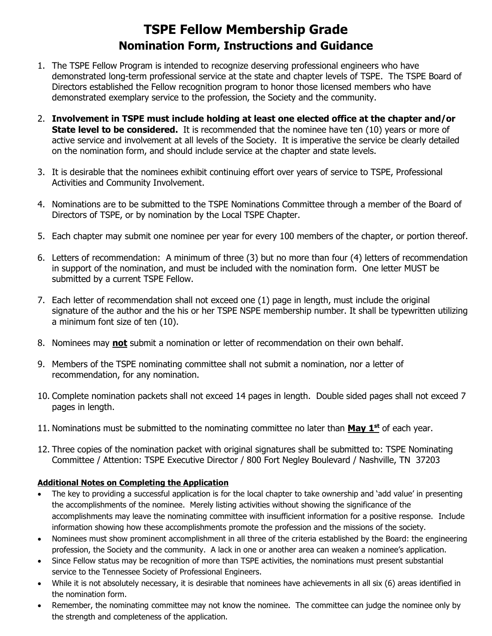## **TSPE Fellow Membership Grade Nomination Form, Instructions and Guidance**

- 1. The TSPE Fellow Program is intended to recognize deserving professional engineers who have demonstrated long-term professional service at the state and chapter levels of TSPE. The TSPE Board of Directors established the Fellow recognition program to honor those licensed members who have demonstrated exemplary service to the profession, the Society and the community.
- 2. **Involvement in TSPE must include holding at least one elected office at the chapter and/or State level to be considered.** It is recommended that the nominee have ten (10) years or more of active service and involvement at all levels of the Society. It is imperative the service be clearly detailed on the nomination form, and should include service at the chapter and state levels.
- 3. It is desirable that the nominees exhibit continuing effort over years of service to TSPE, Professional Activities and Community Involvement.
- 4. Nominations are to be submitted to the TSPE Nominations Committee through a member of the Board of Directors of TSPE, or by nomination by the Local TSPE Chapter.
- 5. Each chapter may submit one nominee per year for every 100 members of the chapter, or portion thereof.
- 6. Letters of recommendation: A minimum of three (3) but no more than four (4) letters of recommendation in support of the nomination, and must be included with the nomination form. One letter MUST be submitted by a current TSPE Fellow.
- 7. Each letter of recommendation shall not exceed one (1) page in length, must include the original signature of the author and the his or her TSPE NSPE membership number. It shall be typewritten utilizing a minimum font size of ten (10).
- 8. Nominees may **not** submit a nomination or letter of recommendation on their own behalf.
- 9. Members of the TSPE nominating committee shall not submit a nomination, nor a letter of recommendation, for any nomination.
- 10. Complete nomination packets shall not exceed 14 pages in length. Double sided pages shall not exceed 7 pages in length.
- 11. Nominations must be submitted to the nominating committee no later than **May 1st** of each year.
- 12. Three copies of the nomination packet with original signatures shall be submitted to: TSPE Nominating Committee / Attention: TSPE Executive Director / 800 Fort Negley Boulevard / Nashville, TN 37203

## **Additional Notes on Completing the Application**

- The key to providing a successful application is for the local chapter to take ownership and 'add value' in presenting the accomplishments of the nominee. Merely listing activities without showing the significance of the accomplishments may leave the nominating committee with insufficient information for a positive response. Include information showing how these accomplishments promote the profession and the missions of the society.
- Nominees must show prominent accomplishment in all three of the criteria established by the Board: the engineering profession, the Society and the community. A lack in one or another area can weaken a nominee's application.
- Since Fellow status may be recognition of more than TSPE activities, the nominations must present substantial service to the Tennessee Society of Professional Engineers.
- While it is not absolutely necessary, it is desirable that nominees have achievements in all six (6) areas identified in the nomination form.
- Remember, the nominating committee may not know the nominee. The committee can judge the nominee only by the strength and completeness of the application.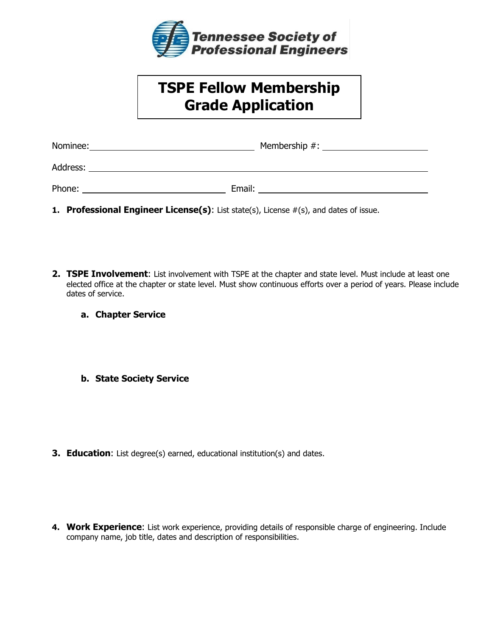

## **TSPE Fellow Membership Grade Application**

**Nomination Form**

| Nominee: | Membership #: |
|----------|---------------|
| Address: |               |
| Phone:   | Email:        |

- **1. Professional Engineer License(s)**: List state(s), License #(s), and dates of issue.
- **2. TSPE Involvement**: List involvement with TSPE at the chapter and state level. Must include at least one elected office at the chapter or state level. Must show continuous efforts over a period of years. Please include dates of service.
	- **a. Chapter Service**
	- **b. State Society Service**

- **3. Education**: List degree(s) earned, educational institution(s) and dates.
- **4. Work Experience**: List work experience, providing details of responsible charge of engineering. Include company name, job title, dates and description of responsibilities.